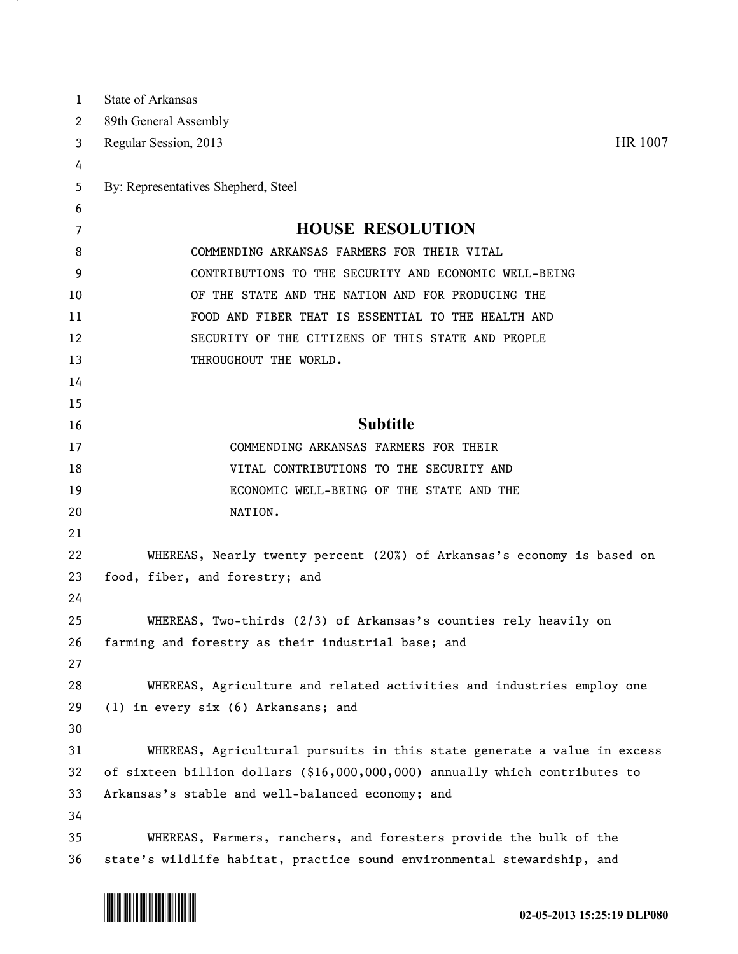| 1  | State of Arkansas                                                           |
|----|-----------------------------------------------------------------------------|
| 2  | 89th General Assembly                                                       |
| 3  | HR 1007<br>Regular Session, 2013                                            |
| 4  |                                                                             |
| 5  | By: Representatives Shepherd, Steel                                         |
| 6  |                                                                             |
| 7  | <b>HOUSE RESOLUTION</b>                                                     |
| 8  | COMMENDING ARKANSAS FARMERS FOR THEIR VITAL                                 |
| 9  | CONTRIBUTIONS TO THE SECURITY AND ECONOMIC WELL-BEING                       |
| 10 | OF THE STATE AND THE NATION AND FOR PRODUCING THE                           |
| 11 | FOOD AND FIBER THAT IS ESSENTIAL TO THE HEALTH AND                          |
| 12 | SECURITY OF THE CITIZENS OF THIS STATE AND PEOPLE                           |
| 13 | THROUGHOUT THE WORLD.                                                       |
| 14 |                                                                             |
| 15 |                                                                             |
| 16 | <b>Subtitle</b>                                                             |
| 17 | COMMENDING ARKANSAS FARMERS FOR THEIR                                       |
| 18 | VITAL CONTRIBUTIONS TO THE SECURITY AND                                     |
| 19 | ECONOMIC WELL-BEING OF THE STATE AND THE                                    |
| 20 | NATION.                                                                     |
| 21 |                                                                             |
| 22 | WHEREAS, Nearly twenty percent (20%) of Arkansas's economy is based on      |
| 23 | food, fiber, and forestry; and                                              |
| 24 |                                                                             |
| 25 | WHEREAS, Two-thirds (2/3) of Arkansas's counties rely heavily on            |
| 26 | farming and forestry as their industrial base; and                          |
| 27 |                                                                             |
| 28 | WHEREAS, Agriculture and related activities and industries employ one       |
| 29 | (1) in every six (6) Arkansans; and                                         |
| 30 |                                                                             |
| 31 | WHEREAS, Agricultural pursuits in this state generate a value in excess     |
| 32 | of sixteen billion dollars (\$16,000,000,000) annually which contributes to |
| 33 | Arkansas's stable and well-balanced economy; and                            |
| 34 |                                                                             |
| 35 | WHEREAS, Farmers, ranchers, and foresters provide the bulk of the           |
| 36 | state's wildlife habitat, practice sound environmental stewardship, and     |



<u>на п</u>